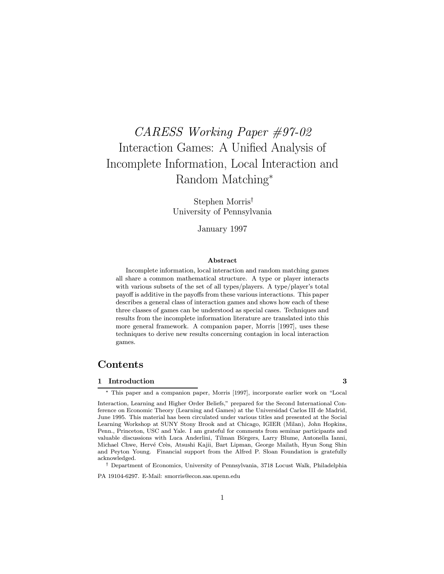# CARESS Working Paper #97-02 Interaction Games: A Unified Analysis of Incomplete Information, Local Interaction and Random Matching<sup>\*</sup>

Stephen Morris<sup>†</sup> University of Pennsylvania

January 1997

#### Abstract

Incomplete information, local interaction and random matching games all share a common mathematical structure. A type or player interacts with various subsets of the set of all types/players. A type/player's total payoff is additive in the payoffs from these various interactions. This paper describes a general class of interaction games and shows how each of these three classes of games can be understood as special cases. Techniques and results from the incomplete information literature are translated into this more general framework. A companion paper, Morris [1997], uses these techniques to derive new results concerning contagion in local interaction games.

# Contents

#### 1 Introduction 3

¤ This paper and a companion paper, Morris [1997], incorporate earlier work on \Local

 $^\dagger$  Department of Economics, University of Pennsylvania, 3718 Locust Walk, Philadelphia

PA 19104-6297. E-Mail: smorris@econ.sas.upenn.edu

Interaction, Learning and Higher Order Beliefs," prepared for the Second International Conference on Economic Theory (Learning and Games) at the Universidad Carlos III de Madrid, June 1995. This material has been circulated under various titles and presented at the Social Learning Workshop at SUNY Stony Brook and at Chicago, IGIER (Milan), John Hopkins, Penn., Princeton, USC and Yale. I am grateful for comments from seminar participants and valuable discussions with Luca Anderlini, Tilman Börgers, Larry Blume, Antonella Ianni, Michael Chwe, Hervé Crès, Atsushi Kajii, Bart Lipman, George Mailath, Hyun Song Shin and Peyton Young. Financial support from the Alfred P. Sloan Foundation is gratefully acknowledged.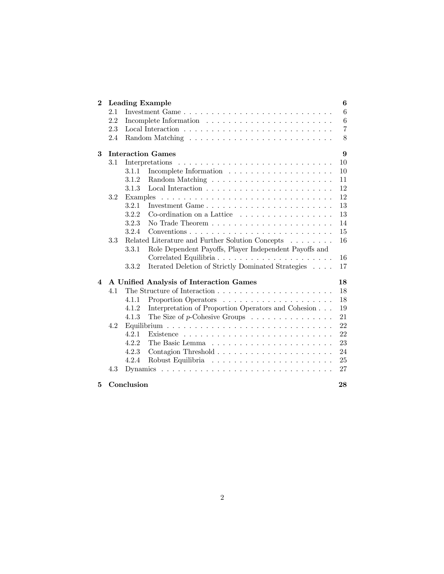| $\bf{2}$ |     | <b>Leading Example</b>                                                             | 6              |
|----------|-----|------------------------------------------------------------------------------------|----------------|
|          | 2.1 |                                                                                    | 6              |
|          | 2.2 |                                                                                    | 6              |
|          | 2.3 |                                                                                    | $\overline{7}$ |
|          | 2.4 |                                                                                    | 8              |
| 3        |     | <b>Interaction Games</b>                                                           | 9              |
|          | 3.1 | Interpretations                                                                    | 10             |
|          |     | Incomplete Information $\ldots \ldots \ldots \ldots \ldots \ldots \ldots$<br>3.1.1 | 10             |
|          |     | 3.1.2                                                                              | 11             |
|          |     | 3.1.3                                                                              | 12             |
|          | 3.2 | Examples                                                                           | 12             |
|          |     | 3.2.1<br>Investment Game                                                           | 13             |
|          |     | 3.2.2<br>Co-ordination on a Lattice $\ldots$ , $\ldots$ , $\ldots$ , $\ldots$      | 13             |
|          |     | 3.2.3                                                                              | 14             |
|          |     | 3.2.4                                                                              | 15             |
|          | 3.3 | Related Literature and Further Solution Concepts                                   | 16             |
|          |     | Role Dependent Payoffs, Player Independent Payoffs and<br>3.3.1                    |                |
|          |     |                                                                                    | 16             |
|          |     | Iterated Deletion of Strictly Dominated Strategies<br>3.3.2                        | 17             |
| 4        |     | A Unified Analysis of Interaction Games                                            | 18             |
|          | 4.1 |                                                                                    | 18             |
|          |     | 4.1.1                                                                              | 18             |
|          |     | Interpretation of Proportion Operators and Cohesion<br>4.1.2                       | 19             |
|          |     | The Size of $p$ -Cohesive Groups<br>4.1.3                                          | 21             |
|          | 4.2 |                                                                                    | 22             |
|          |     | 4.2.1                                                                              | 22             |
|          |     | 4.2.2                                                                              | 23             |
|          |     | 4.2.3                                                                              | 24             |
|          |     | 4.2.4                                                                              | 25             |
|          | 4.3 |                                                                                    | 27             |
| 5        |     | Conclusion                                                                         | 28             |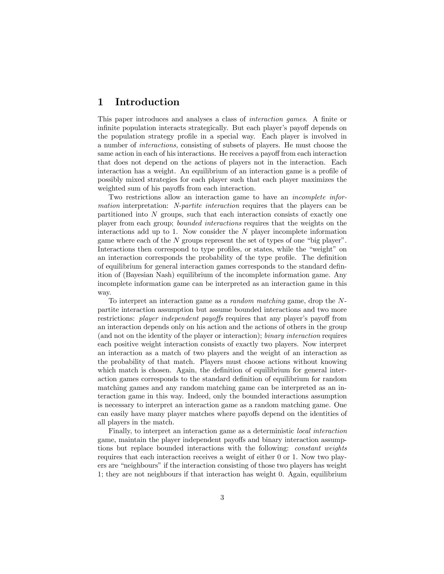# 1 Introduction

This paper introduces and analyses a class of *interaction games*. A finite or infinite population interacts strategically. But each player's payoff depends on the population strategy profile in a special way. Each player is involved in a number of interactions, consisting of subsets of players. He must choose the same action in each of his interactions. He receives a payoff from each interaction that does not depend on the actions of players not in the interaction. Each interaction has a weight. An equilibrium of an interaction game is a profile of possibly mixed strategies for each player such that each player maximizes the weighted sum of his payoffs from each interaction.

Two restrictions allow an interaction game to have an incomplete information interpretation: N-partite interaction requires that the players can be partitioned into  $N$  groups, such that each interaction consists of exactly one player from each group; bounded interactions requires that the weights on the interactions add up to  $1$ . Now consider the  $N$  player incomplete information game where each of the  $N$  groups represent the set of types of one "big player". Interactions then correspond to type profiles, or states, while the "weight" on an interaction corresponds the probability of the type profile. The definition of equilibrium for general interaction games corresponds to the standard definition of (Bayesian Nash) equilibrium of the incomplete information game. Any incomplete information game can be interpreted as an interaction game in this way.

To interpret an interaction game as a random matching game, drop the Npartite interaction assumption but assume bounded interactions and two more restrictions: *player independent payoffs* requires that any player's payoff from an interaction depends only on his action and the actions of others in the group (and not on the identity of the player or interaction); binary interaction requires each positive weight interaction consists of exactly two players. Now interpret an interaction as a match of two players and the weight of an interaction as the probability of that match. Players must choose actions without knowing which match is chosen. Again, the definition of equilibrium for general interaction games corresponds to the standard definition of equilibrium for random matching games and any random matching game can be interpreted as an interaction game in this way. Indeed, only the bounded interactions assumption is necessary to interpret an interaction game as a random matching game. One can easily have many player matches where payoffs depend on the identities of all players in the match.

Finally, to interpret an interaction game as a deterministic local interaction game, maintain the player independent payoffs and binary interaction assumptions but replace bounded interactions with the following: constant weights requires that each interaction receives a weight of either 0 or 1. Now two players are "neighbours" if the interaction consisting of those two players has weight 1; they are not neighbours if that interaction has weight 0. Again, equilibrium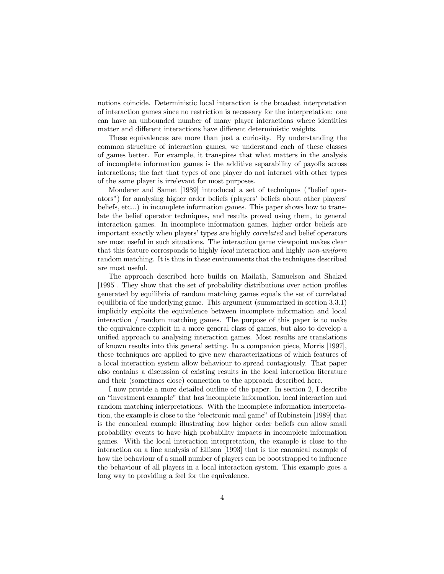notions coincide. Deterministic local interaction is the broadest interpretation of interaction games since no restriction is necessary for the interpretation: one can have an unbounded number of many player interactions where identities matter and different interactions have different deterministic weights.

These equivalences are more than just a curiosity. By understanding the common structure of interaction games, we understand each of these classes of games better. For example, it transpires that what matters in the analysis of incomplete information games is the additive separability of payoffs across interactions; the fact that types of one player do not interact with other types of the same player is irrelevant for most purposes.

Monderer and Samet [1989] introduced a set of techniques ("belief operators") for analysing higher order beliefs (players' beliefs about other players' beliefs, etc...) in incomplete information games. This paper shows how to translate the belief operator techniques, and results proved using them, to general interaction games. In incomplete information games, higher order beliefs are important exactly when players' types are highly correlated and belief operators are most useful in such situations. The interaction game viewpoint makes clear that this feature corresponds to highly local interaction and highly non-uniform random matching. It is thus in these environments that the techniques described are most useful.

The approach described here builds on Mailath, Samuelson and Shaked [1995]. They show that the set of probability distributions over action profiles generated by equilibria of random matching games equals the set of correlated equilibria of the underlying game. This argument (summarized in section 3.3.1) implicitly exploits the equivalence between incomplete information and local interaction / random matching games. The purpose of this paper is to make the equivalence explicit in a more general class of games, but also to develop a unified approach to analysing interaction games. Most results are translations of known results into this general setting. In a companion piece, Morris [1997], these techniques are applied to give new characterizations of which features of a local interaction system allow behaviour to spread contagiously. That paper also contains a discussion of existing results in the local interaction literature and their (sometimes close) connection to the approach described here.

I now provide a more detailed outline of the paper. In section 2, I describe an \investment example" that has incomplete information, local interaction and random matching interpretations. With the incomplete information interpretation, the example is close to the "electronic mail game" of Rubinstein [1989] that is the canonical example illustrating how higher order beliefs can allow small probability events to have high probability impacts in incomplete information games. With the local interaction interpretation, the example is close to the interaction on a line analysis of Ellison [1993] that is the canonical example of how the behaviour of a small number of players can be bootstrapped to influence the behaviour of all players in a local interaction system. This example goes a long way to providing a feel for the equivalence.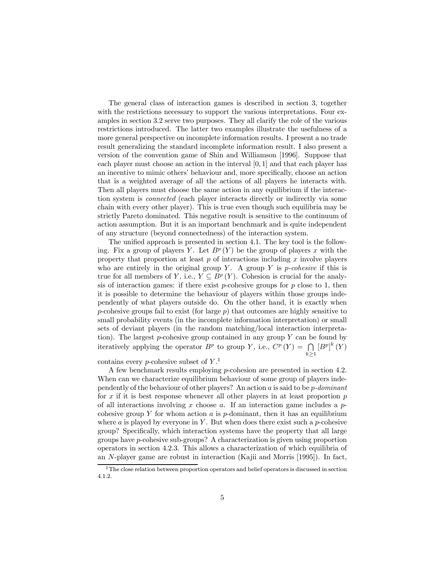The general class of interaction games is described in section 3, together with the restrictions necessary to support the various interpretations. Four examples in section 3.2 serve two purposes. They all clarify the role of the various restrictions introduced. The latter two examples illustrate the usefulness of a more general perspective on incomplete information results. I present a no trade result generalizing the standard incomplete information result. I also present a version of the convention game of Shin and Williamson [1996]. Suppose that each player must choose an action in the interval  $[0, 1]$  and that each player has an incentive to mimic others' behaviour and, more specifically, choose an action that is a weighted average of all the actions of all players he interacts with. Then all players must choose the same action in any equilibrium if the interaction system is connected (each player interacts directly or indirectly via some chain with every other player). This is true even though such equilibria may be strictly Pareto dominated. This negative result is sensitive to the continuum of action assumption. But it is an important benchmark and is quite independent of any structure (beyond connectedness) of the interaction system.

The unified approach is presented in section 4.1. The key tool is the following. Fix a group of players Y. Let  $B^p(Y)$  be the group of players x with the property that proportion at least  $p$  of interactions including  $x$  involve players who are entirely in the original group Y. A group Y is *p-cohesive* if this is true for all members of Y, i.e.,  $Y \subseteq B^p(Y)$ . Cohesion is crucial for the analysis of interaction games: if there exist  $p$ -cohesive groups for  $p$  close to 1, then it is possible to determine the behaviour of players within those groups independently of what players outside do. On the other hand, it is exactly when p-cohesive groups fail to exist (for large  $p$ ) that outcomes are highly sensitive to small probability events (in the incomplete information interpretation) or small sets of deviant players (in the random matching/local interaction interpretation). The largest  $p$ -cohesive group contained in any group  $Y$  can be found by iteratively applying the operator  $B^p$  to group Y, i.e.,  $C^p(Y) = \bigcap$  $k\geq 1$  $\left[ B^{p}\right] ^{k}\left( Y\right)$ 

contains every *p*-cohesive subset of  $Y<sup>1</sup>$ .

A few benchmark results employing p-cohesion are presented in section 4.2. When can we characterize equilibrium behaviour of some group of players independently of the behaviour of other players? An action a is said to be p-dominant for x if it is best response whenever all other players in at least proportion  $p$ of all interactions involving x choose a. If an interaction game includes a  $p$ cohesive group  $Y$  for whom action  $a$  is  $p$ -dominant, then it has an equilibrium where a is played by everyone in Y. But when does there exist such a  $p$ -cohesive group? Specifically, which interaction systems have the property that all large groups have p-cohesive sub-groups? A characterization is given using proportion operators in section 4.2.3. This allows a characterization of which equilibria of an N-player game are robust in interaction (Kajii and Morris [1995]). In fact,

<sup>1</sup>The close relation between proportion operators and belief operators is discussed in section 4.1.2.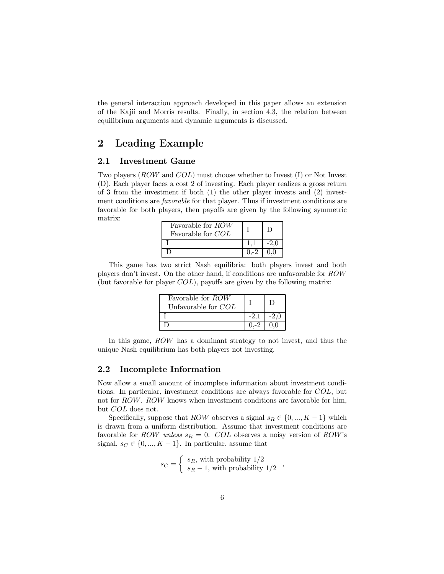the general interaction approach developed in this paper allows an extension of the Kajii and Morris results. Finally, in section 4.3, the relation between equilibrium arguments and dynamic arguments is discussed.

# 2 Leading Example

#### 2.1 Investment Game

Two players (ROW and COL) must choose whether to Invest (I) or Not Invest (D). Each player faces a cost 2 of investing. Each player realizes a gross return of 3 from the investment if both (1) the other player invests and (2) investment conditions are *favorable* for that player. Thus if investment conditions are favorable for both players, then payoffs are given by the following symmetric matrix:

| Favorable for ROW<br>Favorable for COL |  |
|----------------------------------------|--|
|                                        |  |
|                                        |  |

This game has two strict Nash equilibria: both players invest and both players don't invest. On the other hand, if conditions are unfavorable for ROW (but favorable for player  $COL$ ), payoffs are given by the following matrix:

| Favorable for ROW<br>Unfavorable for $COL$ |  |
|--------------------------------------------|--|
|                                            |  |
|                                            |  |

In this game, ROW has a dominant strategy to not invest, and thus the unique Nash equilibrium has both players not investing.

#### 2.2 Incomplete Information

Now allow a small amount of incomplete information about investment conditions. In particular, investment conditions are always favorable for COL, but not for ROW. ROW knows when investment conditions are favorable for him, but COL does not.

Specifically, suppose that ROW observes a signal  $s_R \in \{0, ..., K - 1\}$  which is drawn from a uniform distribution. Assume that investment conditions are favorable for ROW unless  $s_R = 0$ . COL observes a noisy version of ROW's signal,  $s_C \in \{0, ..., K - 1\}$ . In particular, assume that

$$
s_C = \left\{ \begin{array}{l} s_R, \, \text{with probability} \,\, 1/2 \\ s_R - 1, \, \text{with probability} \,\, 1/2 \end{array} \right. \, ,
$$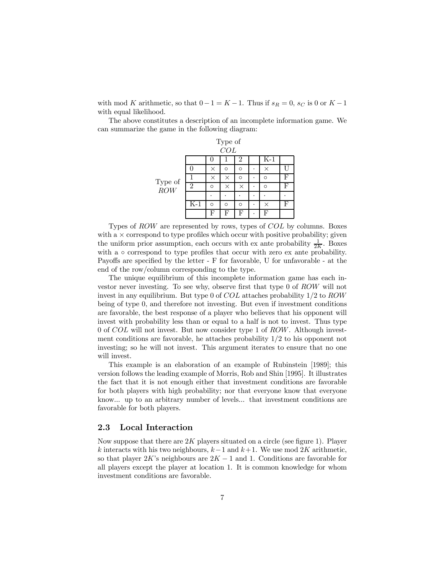with mod K arithmetic, so that  $0-1 = K - 1$ . Thus if  $s_R = 0$ ,  $s_C$  is 0 or  $K - 1$ with equal likelihood.

The above constitutes a description of an incomplete information game. We can summarize the game in the following diagram:

|                |       |          | Type of |          |   |          |   |
|----------------|-------|----------|---------|----------|---|----------|---|
|                |       |          | COL     |          |   |          |   |
|                |       |          |         | 2        |   | $K-1$    |   |
|                |       | $\times$ | O       | O        |   | $\times$ |   |
|                |       | ×        | ×       | $\Omega$ | ٠ | Ω        | F |
| Type of<br>ROW | 2     | $\Omega$ | ×       | ×        | ۰ | Ω        | F |
|                |       |          |         |          |   |          |   |
|                | $K-1$ | $\Omega$ | $\circ$ | O        | ۰ | $\times$ | F |
|                |       | F        | F       | F        | ٠ | F        |   |

Types of ROW are represented by rows, types of COL by columns. Boxes with a  $\times$  correspond to type profiles which occur with positive probability; given the uniform prior assumption, each occurs with ex ante probability  $\frac{1}{2K}$ . Boxes with a  $\circ$  correspond to type profiles that occur with zero ex ante probability. Payoffs are specified by the letter  $- F$  for favorable, U for unfavorable  $- at the$ end of the row/column corresponding to the type.

The unique equilibrium of this incomplete information game has each investor never investing. To see why, observe first that type  $0$  of  $ROW$  will not invest in any equilibrium. But type 0 of  $COL$  attaches probability  $1/2$  to  $ROW$ being of type 0, and therefore not investing. But even if investment conditions are favorable, the best response of a player who believes that his opponent will invest with probability less than or equal to a half is not to invest. Thus type 0 of COL will not invest. But now consider type 1 of ROW. Although investment conditions are favorable, he attaches probability  $1/2$  to his opponent not investing; so he will not invest. This argument iterates to ensure that no one will invest.

This example is an elaboration of an example of Rubinstein [1989]; this version follows the leading example of Morris, Rob and Shin [1995]. It illustrates the fact that it is not enough either that investment conditions are favorable for both players with high probability; nor that everyone know that everyone know... up to an arbitrary number of levels... that investment conditions are favorable for both players.

#### 2.3 Local Interaction

Now suppose that there are  $2K$  players situated on a circle (see figure 1). Player k interacts with his two neighbours,  $k-1$  and  $k+1$ . We use mod 2K arithmetic, so that player  $2K$ 's neighbours are  $2K - 1$  and 1. Conditions are favorable for all players except the player at location 1. It is common knowledge for whom investment conditions are favorable.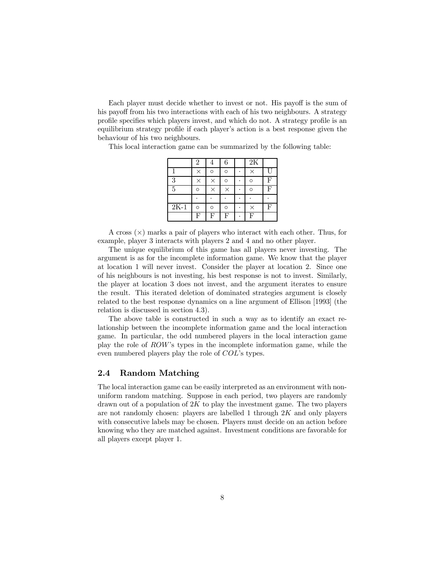Each player must decide whether to invest or not. His payoff is the sum of his payoff from his two interactions with each of his two neighbours. A strategy profile specifies which players invest, and which do not. A strategy profile is an equilibrium strategy profile if each player's action is a best response given the behaviour of his two neighbours.

This local interaction game can be summarized by the following table:

|        | $\overline{2}$ | 4        | 6        | $\overline{2K}$ |   |
|--------|----------------|----------|----------|-----------------|---|
|        |                | O        | O        | ×               | Ľ |
| 3      |                | $\times$ | O        | Ω               | F |
| 5      | O              |          | $\times$ | Ω               | F |
|        |                |          |          |                 |   |
| $2K-1$ | O              | Ó        | O        | $\times$        | F |
|        | F              | F        | F        | н               |   |

A cross  $(\times)$  marks a pair of players who interact with each other. Thus, for example, player 3 interacts with players 2 and 4 and no other player.

The unique equilibrium of this game has all players never investing. The argument is as for the incomplete information game. We know that the player at location 1 will never invest. Consider the player at location 2. Since one of his neighbours is not investing, his best response is not to invest. Similarly, the player at location 3 does not invest, and the argument iterates to ensure the result. This iterated deletion of dominated strategies argument is closely related to the best response dynamics on a line argument of Ellison [1993] (the relation is discussed in section 4.3).

The above table is constructed in such a way as to identify an exact relationship between the incomplete information game and the local interaction game. In particular, the odd numbered players in the local interaction game play the role of ROW's types in the incomplete information game, while the even numbered players play the role of COL's types.

#### 2.4 Random Matching

The local interaction game can be easily interpreted as an environment with nonuniform random matching. Suppose in each period, two players are randomly drawn out of a population of  $2K$  to play the investment game. The two players are not randomly chosen: players are labelled 1 through  $2K$  and only players with consecutive labels may be chosen. Players must decide on an action before knowing who they are matched against. Investment conditions are favorable for all players except player 1.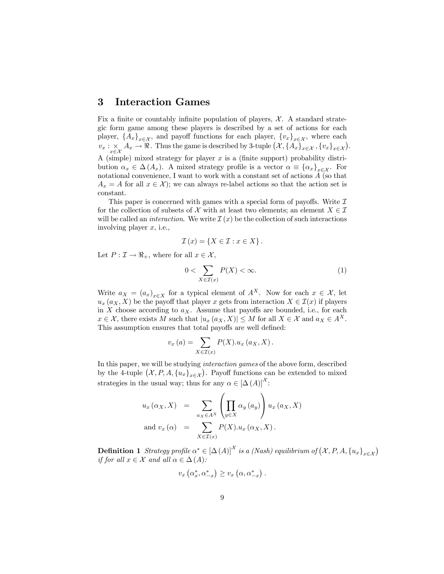### 3 Interaction Games

Fix a finite or countably infinite population of players,  $\mathcal{X}$ . A standard strategic form game among these players is described by a set of actions for each player,  $\{A_x\}_{x \in \mathcal{X}}$ , and payoff functions for each player,  $\{v_x\}_{x \in \mathcal{X}}$ , where each  $v_x : \underset{x \in \mathcal{X}}{\times} A_x \to \Re$ . Thus the game is described by 3-tuple  $(\mathcal{X}, \{A_x\}_{x \in \mathcal{X}}, \{v_x\}_{x \in \mathcal{X}})$ . A (simple) mixed strategy for player  $x$  is a (finite support) probability distribution  $\alpha_x \in \Delta(A_x)$ . A mixed strategy profile is a vector  $\alpha \equiv {\alpha_x}_{x \in \mathcal{X}}$ . For notational convenience, I want to work with a constant set of actions  ${\cal A}$  (so that  $A_x = A$  for all  $x \in \mathcal{X}$ ; we can always re-label actions so that the action set is constant.

This paper is concerned with games with a special form of payoffs. Write  $\mathcal I$ for the collection of subsets of X with at least two elements; an element  $X \in \mathcal{I}$ will be called an *interaction*. We write  $\mathcal{I}(x)$  be the collection of such interactions involving player  $x$ , i.e.,

$$
\mathcal{I}(x) = \{ X \in \mathcal{I} : x \in X \}.
$$

Let  $P: \mathcal{I} \to \Re_+$ , where for all  $x \in \mathcal{X}$ ,

$$
0 < \sum_{X \in \mathcal{I}(x)} P(X) < \infty. \tag{1}
$$

Write  $a_X = (a_x)_{x \in X}$  for a typical element of  $A^X$ . Now for each  $x \in \mathcal{X}$ , let  $u_x(a_X,X)$  be the payoff that player x gets from interaction  $X \in \mathcal{I}(x)$  if players in X choose according to  $a_X$ . Assume that payoffs are bounded, i.e., for each  $x \in \mathcal{X}$ , there exists M such that  $|u_x(a_X, X)| \leq M$  for all  $X \in \mathcal{X}$  and  $a_X \in A^X$ . This assumption ensures that total payoffs are well defined:

$$
v_x(a) = \sum_{X \in \mathcal{I}(x)} P(X) . u_x(a_X, X) .
$$

In this paper, we will be studying interaction games of the above form, described by the 4-tuple  $(\mathcal{X}, P, A, \{u_x\}_{x \in \mathcal{X}})$ . Payoff functions can be extended to mixed strategies in the usual way; thus for any  $\alpha \in [\Delta(A)]^{\mathcal{X}}$ :

$$
u_x(\alpha_X, X) = \sum_{a_X \in A^X} \left( \prod_{y \in X} \alpha_y(a_y) \right) u_x(a_X, X)
$$
  
and  $v_x(\alpha) = \sum_{X \in \mathcal{I}(x)} P(X) . u_x(\alpha_X, X).$ 

**Definition 1** Strategy profile  $\alpha^* \in [\Delta(A)]^{\mathcal{X}}$  is a (Nash) equilibrium of  $(\mathcal{X}, P, A, \{u_x\}_{x \in \mathcal{X}})$ if for all  $x \in \mathcal{X}$  and all  $\alpha \in \Delta(A)$ :

$$
v_x\left(\alpha_x^*, \alpha_{-x}^*\right) \ge v_x\left(\alpha, \alpha_{-x}^*\right).
$$

 $\mathbf{v}$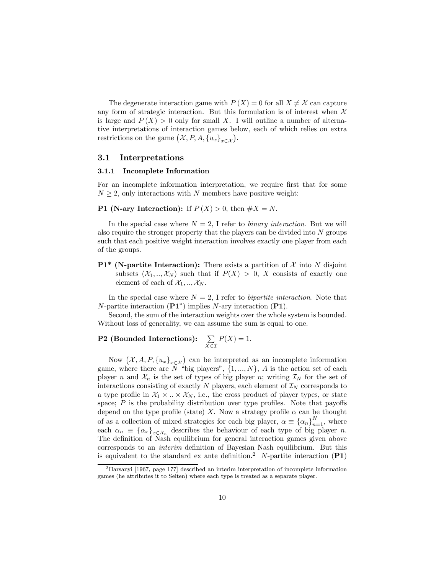The degenerate interaction game with  $P(X) = 0$  for all  $X \neq \mathcal{X}$  can capture any form of strategic interaction. But this formulation is of interest when  $X$ is large and  $P(X) > 0$  only for small X. I will outline a number of alternative interpretations of interaction games below, each of which relies on extra restrictions on the game  $(\mathcal{X}, P, A, \{u_x\}_{x \in \mathcal{X}})$ .

#### 3.1 Interpretations

#### 3.1.1 Incomplete Information

For an incomplete information interpretation, we require first that for some  $N \geq 2$ , only interactions with N members have positive weight:

#### **P1** (N-ary Interaction): If  $P(X) > 0$ , then  $\#X = N$ .

In the special case where  $N = 2$ , I refer to *binary interaction*. But we will also require the stronger property that the players can be divided into N groups such that each positive weight interaction involves exactly one player from each of the groups.

**P1\*** (N-partite Interaction): There exists a partition of  $\mathcal{X}$  into N disjoint subsets  $(X_1, ..., X_N)$  such that if  $P(X) > 0$ , X consists of exactly one element of each of  $\mathcal{X}_1, ..., \mathcal{X}_N$ .

In the special case where  $N = 2$ , I refer to *bipartite interaction*. Note that N-partite interaction  $(\mathbf{P1}^*)$  implies N-ary interaction  $(\mathbf{P1})$ .

Second, the sum of the interaction weights over the whole system is bounded. Without loss of generality, we can assume the sum is equal to one.

#### **P2** (Bounded Interactions):  $\sum$  $X \in \mathcal{I}$  $P(X) = 1.$

Now  $(\mathcal{X}, A, P, \{u_x\}_{x \in \mathcal{X}})$  can be interpreted as an incomplete information game, where there are N "big players",  $\{1, ..., N\}$ , A is the action set of each player n and  $\mathcal{X}_n$  is the set of types of big player n; writing  $\mathcal{I}_N$  for the set of interactions consisting of exactly  $N$  players, each element of  $\mathcal{I}_N$  corresponds to a type profile in  $\mathcal{X}_1 \times \ldots \times \mathcal{X}_N$ , i.e., the cross product of player types, or state space;  $P$  is the probability distribution over type profiles. Note that payoffs depend on the type profile (state) X. Now a strategy profile  $\alpha$  can be thought of as a collection of mixed strategies for each big player,  $\alpha \equiv {\{\alpha_n\}}_n^N$  $\sum_{n=1}^N$ , where each  $\alpha_n \equiv {\alpha_x}_{x \in \mathcal{X}_n}$  describes the behaviour of each type of big player n. The definition of Nash equilibrium for general interaction games given above corresponds to an *interim* definition of Bayesian Nash equilibrium. But this is equivalent to the standard ex ante definition.<sup>2</sup> N-partite interaction  $(PI)$ 

<sup>2</sup>Harsanyi [1967, page 177] described an interim interpretation of incomplete information games (he attributes it to Selten) where each type is treated as a separate player.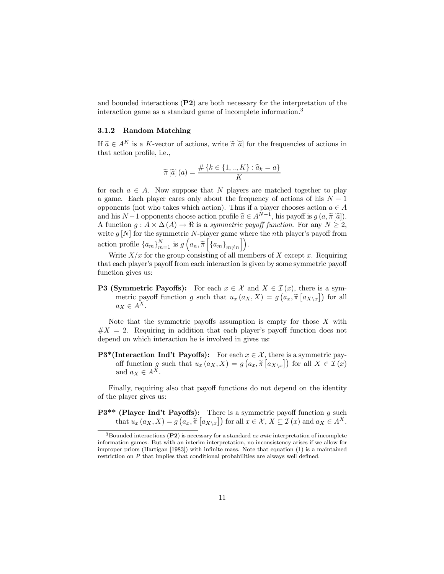and bounded interactions (P2) are both necessary for the interpretation of the interaction game as a standard game of incomplete information. 3

#### 3.1.2 Random Matching

If  $\hat{a} \in A^K$  is a K-vector of actions, write  $\tilde{\pi}[\hat{a}]$  for the frequencies of actions in that action profile, i.e.,

$$
\widetilde{\pi}[\widehat{a}](a) = \frac{\#\{k \in \{1,..,K\} : \widehat{a}_k = a\}}{K}
$$

for each  $a \in A$ . Now suppose that N players are matched together to play a game. Each player cares only about the frequency of actions of his  $N-1$ opponents (not who takes which action). Thus if a player chooses action  $a \in A$ and his  $N-1$  opponents choose action profile  $\widehat{a} \in A^{N-1}$ , his payoff is  $g(a, \widetilde{\pi}[\widehat{a}])$ . A function  $g : A \times \Delta(A) \rightarrow \Re$  is a symmetric payoff function. For any  $N \geq 2$ , write  $g[N]$  for the symmetric N-player game where the nth player's payoff from action profile  $\{a_m\}_m^N$  $\sum_{m=1}^{N}$  is  $g\left(a_n, \tilde{\pi}\left[\left\{a_m\right\}_{m\neq n}\right]\right)$ .

Write  $X/x$  for the group consisting of all members of X except x. Requiring that each player's payoff from each interaction is given by some symmetric payoff function gives us:

**P3 (Symmetric Payoffs):** For each  $x \in \mathcal{X}$  and  $X \in \mathcal{I}(x)$ , there is a symmetric payoff function g such that  $u_x(a_X,X) = g(a_x, \tilde{\pi}[a_{X\setminus x}])$  for all  $a_X \in A^X$ .

Note that the symmetric payoffs assumption is empty for those  $X$  with  $#X = 2$ . Requiring in addition that each player's payoff function does not depend on which interaction he is involved in gives us:

**P3\*(Interaction Ind't Payoffs):** For each  $x \in \mathcal{X}$ , there is a symmetric payoff function g such that  $u_x(a_X, X) = g(a_x, \tilde{\pi}[a_{X \setminus x}])$  for all  $X \in \mathcal{I}(x)$ and  $a_X \in A^{\overline{X}}$ .

Finally, requiring also that payoff functions do not depend on the identity of the player gives us:

**P3\*\*** (Player Ind't Payoffs): There is a symmetric payoff function g such that  $u_x(a_X, X) = g(a_x, \tilde{\pi}[a_{X \setminus x}])$  for all  $x \in \mathcal{X}, X \subseteq \mathcal{I}(x)$  and  $a_X \in A^X$ .

 $3$ Bounded interactions (P2) is necessary for a standard *ex ante* interpretation of incomplete information games. But with an interim interpretation, no inconsistency arises if we allow for improper priors (Hartigan [1983]) with infinite mass. Note that equation (1) is a maintained restriction on  $P$  that implies that conditional probabilities are always well defined.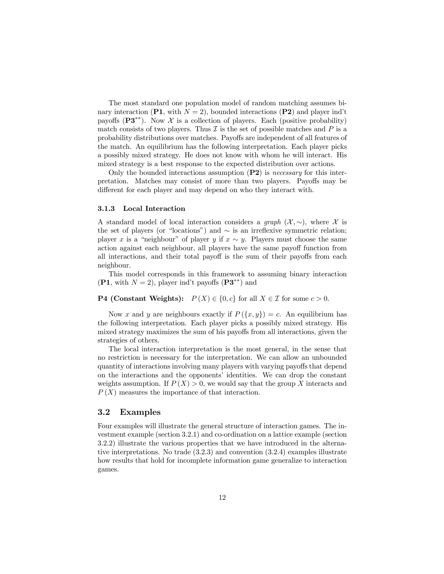The most standard one population model of random matching assumes binary interaction (P1, with  $N = 2$ ), bounded interactions (P2) and player ind't payoffs  $(P3^{**})$ . Now X is a collection of players. Each (positive probability) match consists of two players. Thus  $\mathcal I$  is the set of possible matches and P is a probability distributions over matches. Payoffs are independent of all features of the match. An equilibrium has the following interpretation. Each player picks a possibly mixed strategy. He does not know with whom he will interact. His mixed strategy is a best response to the expected distribution over actions.

Only the bounded interactions assumption  $(P2)$  is *necessary* for this interpretation. Matches may consist of more than two players. Payoffs may be different for each player and may depend on who they interact with.

#### 3.1.3 Local Interaction

A standard model of local interaction considers a *graph*  $(\mathcal{X}, \sim)$ , where X is the set of players (or "locations") and  $\sim$  is an irreflexive symmetric relation; player x is a "neighbour" of player y if  $x \sim y$ . Players must choose the same action against each neighbour, all players have the same payoff function from all interactions, and their total payoff is the sum of their payoffs from each neighbour.

This model corresponds in this framework to assuming binary interaction  $($ **P1**, with  $N = 2$ ), player ind't payoffs  $($ **P3**<sup>\*\*</sup>) and

#### **P4 (Constant Weights):**  $P(X) \in \{0, c\}$  for all  $X \in \mathcal{I}$  for some  $c > 0$ .

Now x and y are neighbours exactly if  $P(\lbrace x,y \rbrace) = c$ . An equilibrium has the following interpretation. Each player picks a possibly mixed strategy. His mixed strategy maximizes the sum of his payoffs from all interactions, given the strategies of others.

The local interaction interpretation is the most general, in the sense that no restriction is necessary for the interpretation. We can allow an unbounded quantity of interactions involving many players with varying payoffs that depend on the interactions and the opponents' identities. We can drop the constant weights assumption. If  $P(X) > 0$ , we would say that the group X interacts and  $P(X)$  measures the importance of that interaction.

#### 3.2 Examples

Four examples will illustrate the general structure of interaction games. The investment example (section 3.2.1) and co-ordination on a lattice example (section 3.2.2) illustrate the various properties that we have introduced in the alternative interpretations. No trade (3.2.3) and convention (3.2.4) examples illustrate how results that hold for incomplete information game generalize to interaction games.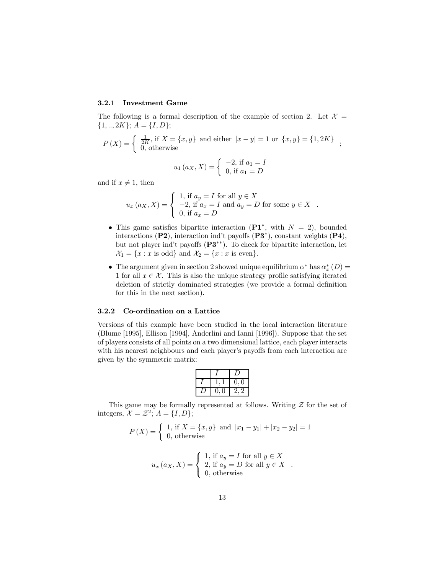#### 3.2.1 Investment Game

The following is a formal description of the example of section 2. Let  $\mathcal{X} =$  $\{1,..,2K\}; A = \{I,D\};$ 

$$
P(X) = \begin{cases} \frac{1}{2K}, \text{ if } X = \{x, y\} \text{ and either } |x - y| = 1 \text{ or } \{x, y\} = \{1, 2K\} \\ 0, \text{ otherwise} \end{cases};
$$

$$
u_1(a_X, X) = \begin{cases} -2, \text{ if } a_1 = I \\ 0, \text{ if } a_1 = D \end{cases}
$$

and if  $x \neq 1$ , then

$$
u_x (a_X, X) = \begin{cases} 1, \text{ if } a_y = I \text{ for all } y \in X \\ -2, \text{ if } a_x = I \text{ and } a_y = D \text{ for some } y \in X \\ 0, \text{ if } a_x = D \end{cases}.
$$

- This game satisfies bipartite interaction ( $\mathbf{P1}^*$ , with  $N = 2$ ), bounded interactions  $(P2)$ , interaction ind't payoffs  $(P3^*)$ , constant weights  $(P4)$ , but not player ind't payoffs  $(P3^{**})$ . To check for bipartite interaction, let  $\mathcal{X}_1 = \{x : x \text{ is odd}\}\$ and  $\mathcal{X}_2 = \{x : x \text{ is even}\}.$
- The argument given in section 2 showed unique equilibrium  $\alpha^*$  has  $\alpha_x^*(D)$  = 1 for all  $x \in \mathcal{X}$ . This is also the unique strategy profile satisfying iterated deletion of strictly dominated strategies (we provide a formal definition for this in the next section).

#### 3.2.2 Co-ordination on a Lattice

Versions of this example have been studied in the local interaction literature (Blume [1995], Ellison [1994], Anderlini and Ianni [1996]). Suppose that the set of players consists of all points on a two dimensional lattice, each player interacts with his nearest neighbours and each player's payoffs from each interaction are given by the symmetric matrix:

|  | $\cdot$ |
|--|---------|

This game may be formally represented at follows. Writing  $\mathcal Z$  for the set of integers,  $\mathcal{X} = \mathcal{Z}^2$ ;  $A = \{I, D\}$ ;

$$
P(X) = \begin{cases} 1, \text{ if } X = \{x, y\} \text{ and } |x_1 - y_1| + |x_2 - y_2| = 1\\ 0, \text{ otherwise} \end{cases}
$$

$$
u_x (a_X, X) = \begin{cases} 1, \text{ if } a_y = I \text{ for all } y \in X \\ 2, \text{ if } a_y = D \text{ for all } y \in X \\ 0, \text{ otherwise} \end{cases}.
$$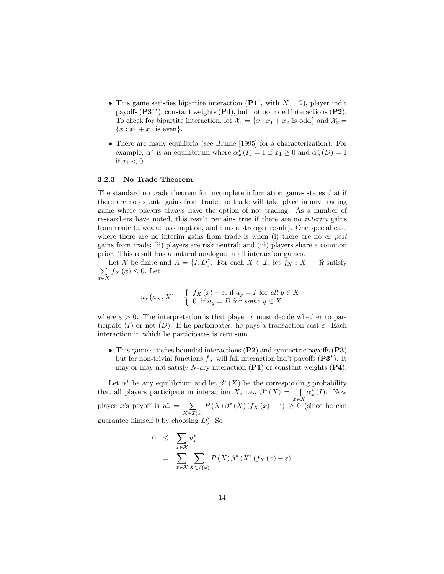- This game satisfies bipartite interaction  $(\mathbf{P1}^*, \text{ with } N = 2)$ , player ind't payoffs  $(\mathbf{P3}^{**})$ , constant weights  $(\mathbf{P4})$ , but not bounded interactions  $(\mathbf{P2})$ . To check for bipartite interaction, let  $\mathcal{X}_1 = \{x : x_1 + x_2 \text{ is odd}\}\$ and  $\mathcal{X}_2 =$  ${x : x_1 + x_2 \text{ is even}}.$
- There are many equilibria (see Blume [1995] for a characterization). For example,  $\alpha^*$  is an equilibrium where  $\alpha_x^*(I) = 1$  if  $x_1 \geq 0$  and  $\alpha_x^*(D) = 1$ if  $x_1 < 0$ .

#### 3.2.3 No Trade Theorem

The standard no trade theorem for incomplete information games states that if there are no ex ante gains from trade, no trade will take place in any trading game where players always have the option of not trading. As a number of researchers have noted, this result remains true if there are no interim gains from trade (a weaker assumption, and thus a stronger result). One special case where there are no interim gains from trade is when  $(i)$  there are no ex post gains from trade; (ii) players are risk neutral; and (iii) players share a common prior. This result has a natural analogue in all interaction games.

 $\sum$ Let X be finite and  $A = \{I, D\}$ . For each  $X \in \mathcal{I}$ , let  $f_X : X \to \mathbb{R}$  satisfy  $\sum_{x \in X} f_X(x) \leq 0$ . Let

$$
u_x (a_X, X) = \begin{cases} f_X (x) - \varepsilon, & \text{if } a_y = I \text{ for all } y \in X \\ 0, & \text{if } a_y = D \text{ for some } y \in X \end{cases}
$$

where  $\varepsilon > 0$ . The interpretation is that player x must decide whether to participate (I) or not (D). If he participates, he pays a transaction cost  $\varepsilon$ . Each interaction in which he participates is zero sum.

• This game satisfies bounded interactions  $(P2)$  and symmetric payoffs  $(P3)$ but for non-trivial functions  $f_X$  will fail interaction ind't payoffs ( $\mathbf{P3}^*$ ). It may or may not satisfy N-ary interaction  $(P1)$  or constant weights  $(P4)$ .

Let  $\alpha^*$  be any equilibrium and let  $\beta^*(X)$  be the corresponding probability that all players participate in interaction X, i.e.,  $\beta^*(X) = \prod$  $x \in X$  $\alpha_x^*(I)$ . Now player x's payoff is  $u_x^* = \sum$  $X\in\mathcal{I}(x)$  $P(X)\beta^*(X)(f_X(x)-\varepsilon) \geq 0$  (since he can guarantee himself 0 by choosing  $D$ ). So

$$
0 \leq \sum_{x \in \mathcal{X}} u_x^*
$$
  
= 
$$
\sum_{x \in \mathcal{X}} \sum_{X \in \mathcal{I}(x)} P(X) \beta^*(X) (f_X(x) - \varepsilon)
$$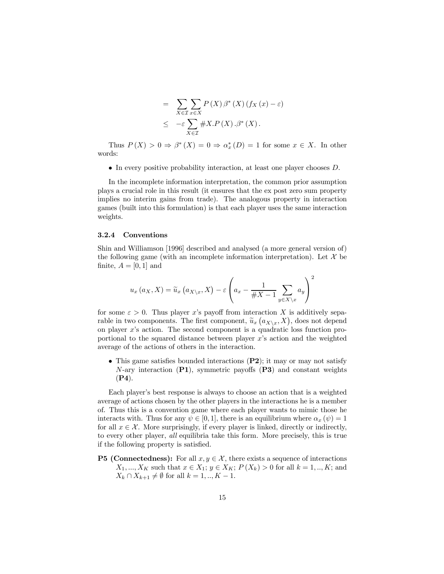$$
= \sum_{X \in \mathcal{I}} \sum_{x \in X} P(X) \beta^*(X) (f_X(x) - \varepsilon)
$$
  
 
$$
\leq -\varepsilon \sum_{X \in \mathcal{I}} \# X.P(X) . \beta^*(X) .
$$

Thus  $P(X) > 0 \Rightarrow \beta^*(X) = 0 \Rightarrow \alpha_x^*(D) = 1$  for some  $x \in X$ . In other words:

 $\bullet$  In every positive probability interaction, at least one player chooses  $D$ .

In the incomplete information interpretation, the common prior assumption plays a crucial role in this result (it ensures that the ex post zero sum property implies no interim gains from trade). The analogous property in interaction games (built into this formulation) is that each player uses the same interaction weights.

#### 3.2.4 Conventions

Shin and Williamson [1996] described and analysed (a more general version of) the following game (with an incomplete information interpretation). Let  $\mathcal X$  be finite,  $A = [0, 1]$  and

$$
u_x(a_X, X) = \widetilde{u}_x(a_{X \setminus x}, X) - \varepsilon \left( a_x - \frac{1}{\#X - 1} \sum_{y \in X \setminus x} a_y \right)^2
$$

for some  $\varepsilon > 0$ . Thus player x's payoff from interaction X is additively separable in two components. The first component,  $\tilde{u}_x (a_{X\setminus x}, X)$ , does not depend on player x's action. The second component is a quadratic loss function proportional to the squared distance between player  $x$ 's action and the weighted average of the actions of others in the interaction.

• This game satisfies bounded interactions  $(P2)$ ; it may or may not satisfy N-ary interaction  $(PI)$ , symmetric payoffs  $(P3)$  and constant weights (P4).

Each player's best response is always to choose an action that is a weighted average of actions chosen by the other players in the interactions he is a member of. Thus this is a convention game where each player wants to mimic those he interacts with. Thus for any  $\psi \in [0, 1]$ , there is an equilibrium where  $\alpha_x (\psi) = 1$ for all  $x \in \mathcal{X}$ . More surprisingly, if every player is linked, directly or indirectly, to every other player, all equilibria take this form. More precisely, this is true if the following property is satisfied.

**P5 (Connectedness):** For all  $x, y \in \mathcal{X}$ , there exists a sequence of interactions  $X_1, ..., X_K$  such that  $x \in X_1; y \in X_K; P(X_k) > 0$  for all  $k = 1, ..., K;$  and  $X_k \cap X_{k+1} \neq \emptyset$  for all  $k = 1, ..., K - 1$ .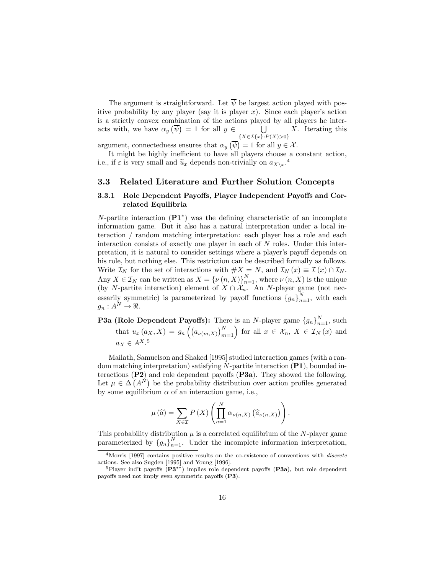The argument is straightforward. Let  $\overline{\psi}$  be largest action played with positive probability by any player (say it is player  $x$ ). Since each player's action is a strictly convex combination of the actions played by all players he interacts with, we have  $\alpha_y(\overline{\psi}) = 1$  for all  $y \in$  $\overline{\phantom{a}}$  $\{X \in \mathcal{I}\{x\}: P(X) > 0\}$ X. Iterating this

argument, connectedness ensures that  $\alpha_y(\overline{\psi}) = 1$  for all  $y \in \mathcal{X}$ .

It might be highly inefficient to have all players choose a constant action, i.e., if  $\varepsilon$  is very small and  $\widetilde{u}_x$  depends non-trivially on  $a_{X\setminus x}$ .<sup>4</sup>

#### 3.3 Related Literature and Further Solution Concepts

#### 3.3.1 Role Dependent Payoffs, Player Independent Payoffs and Correlated Equilibria

N-partite interaction  $(\mathbf{P1}^*)$  was the defining characteristic of an incomplete information game. But it also has a natural interpretation under a local interaction / random matching interpretation: each player has a role and each interaction consists of exactly one player in each of N roles. Under this interpretation, it is natural to consider settings where a player's payoff depends on his role, but nothing else. This restriction can be described formally as follows. Write  $\mathcal{I}_N$  for the set of interactions with  $\#X = N$ , and  $\mathcal{I}_N(x) \equiv \mathcal{I}(x) \cap \mathcal{I}_N$ . Any  $X \in \mathcal{I}_N$  can be written as  $X = {\{\nu(n,X)\}}_{n=1}^N$ , where  $\nu(n,X)$  is the unique (by N-partite interaction) element of  $X \cap \mathcal{X}_n$ . An N-player game (not necessarily symmetric) is parameterized by payoff functions  ${g_n}_{n=1}^N$ , with each  $g_n: A^N \to \Re$ .

**P3a (Role Dependent Payoffs):** There is an N-player game  ${g_n}_{n=1}^N$ , such  $n=1$ that  $u_x(a_X, X) = g_n\left(\left(a_{\nu(m,X)}\right)_{m=1}^N\right)$ for all  $x \in \mathcal{X}_n, X \in \mathcal{I}_N(x)$  and  $a_X \in A^{X}$ .<sup>5</sup>

Mailath, Samuelson and Shaked [1995] studied interaction games (with a random matching interpretation) satisfying  $N$ -partite interaction  $(PI)$ , bounded interactions  $(P2)$  and role dependent payoffs  $(P3a)$ . They showed the following. Let  $\mu \in \Delta(A^{\hat{N}})$  be the probability distribution over action profiles generated by some equilibrium  $\alpha$  of an interaction game, i.e.,

$$
\mu(\widehat{a}) = \sum_{X \in \mathcal{I}} P(X) \left( \prod_{n=1}^{N} \alpha_{\nu(n,X)} (\widehat{a}_{\nu(n,X)}) \right).
$$

This probability distribution  $\mu$  is a correlated equilibrium of the N-player game parameterized by  $\{g_n\}_{n=1}^N$  $\sum_{n=1}^{N}$ . Under the incomplete information interpretation,

<sup>&</sup>lt;sup>4</sup>Morris [1997] contains positive results on the co-existence of conventions with *discrete* actions. See also Sugden [1995] and Young [1996].

<sup>&</sup>lt;sup>5</sup>Player ind't payoffs  $(P3^{**})$  implies role dependent payoffs  $(P3a)$ , but role dependent payoffs need not imply even symmetric payoffs  $(P3)$ .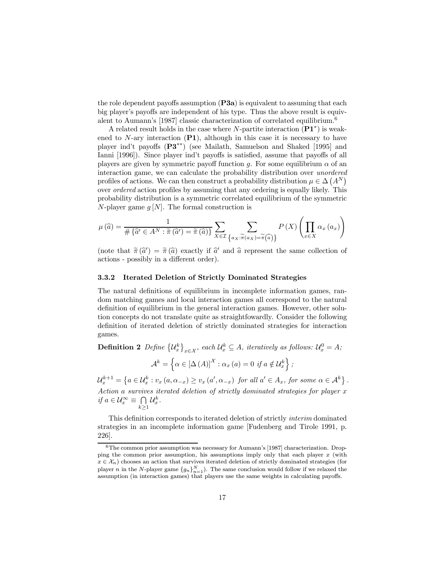the role dependent payoffs assumption  $(P3a)$  is equivalent to assuming that each big player's payoffs are independent of his type. Thus the above result is equivalent to Aumann's [1987] classic characterization of correlated equilibrium. 6

A related result holds in the case where N-partite interaction  $(\mathbf{P1}^*)$  is weakened to  $N$ -ary interaction  $(P1)$ , although in this case it is necessary to have player ind't payoffs  $(P3^{**})$  (see Mailath, Samuelson and Shaked [1995] and Ianni [1996]). Since player ind't payoffs is satisfied, assume that payoffs of all players are given by symmetric payoff function q. For some equilibrium  $\alpha$  of an interaction game, we can calculate the probability distribution over unordered profiles of actions. We can then construct a probability distribution  $\mu \in \Delta \left( A^N \right)$ over *ordered* action profiles by assuming that any ordering is equally likely. This probability distribution is a symmetric correlated equilibrium of the symmetric N-player game  $g[N]$ . The formal construction is

$$
\mu(\widehat{a}) = \frac{1}{\#\{\widehat{a'} \in A^N : \widetilde{\pi}(\widehat{a'}) = \widetilde{\pi}(\widehat{a})\}} \sum_{X \in \mathcal{I}} \sum_{\{a_X : \widetilde{\pi}(a_X) = \widetilde{\pi}(\widehat{a})\}} P(X) \left(\prod_{x \in X} \alpha_x(a_x)\right)
$$

(note that  $\tilde{\pi}(\hat{a}') = \tilde{\pi}(\hat{a})$  exactly if  $\hat{a}'$  and  $\hat{a}$  represent the same collection of actions - possibly in a different order).

#### 3.3.2 Iterated Deletion of Strictly Dominated Strategies

The natural definitions of equilibrium in incomplete information games, random matching games and local interaction games all correspond to the natural definition of equilibrium in the general interaction games. However, other solution concepts do not translate quite as straightfowardly. Consider the following definition of iterated deletion of strictly dominated strategies for interaction games.

Definition 2 Define  $\{\mathcal{U}_x^k\}$  $\mu_{x \in \mathcal{X}}$ , each  $\mathcal{U}_{x}^{k} \subseteq A$ , iteratively as follows:  $\mathcal{U}_{x}^{0} = A$ ;  $\mathcal{A}^k = \left\{ \alpha \in [\Delta(A)]^{\mathcal{X}} : \alpha_x(a) = 0 \text{ if } a \notin \mathcal{U}_x^k \right\};$  $\mathcal{U}_x^{k+1} = \left\{ a \in \mathcal{U}_x^k : v_x(a, \alpha_{-x}) \ge v_x(a', \alpha_{-x}) \text{ for all } a' \in A_x, \text{ for some } \alpha \in \mathcal{A}^k \right\}.$ Action a survives iterated deletion of strictly dominated strategies for player x

if  $a \in \mathcal{U}_x^{\infty} \equiv \bigcap$  $\bigcap_{k\geq 1}\mathcal{U}_x^k.$ This definition corresponds to iterated deletion of strictly *interim* dominated

strategies in an incomplete information game [Fudenberg and Tirole 1991, p. 226].

 $6$ The common prior assumption was necessary for Aumann's [1987] characterization. Dropping the common prior assumption, his assumptions imply only that each player  $x$  (with  $x \in \mathcal{X}_n$ ) chooses an action that survives iterated deletion of strictly dominated strategies (for player *n* in the *N*-player game  ${g_n}_{n=1}^N$ . The same conclusion would follow if we relaxed the assumption (in interaction games) that players use the same weights in calculating payoffs.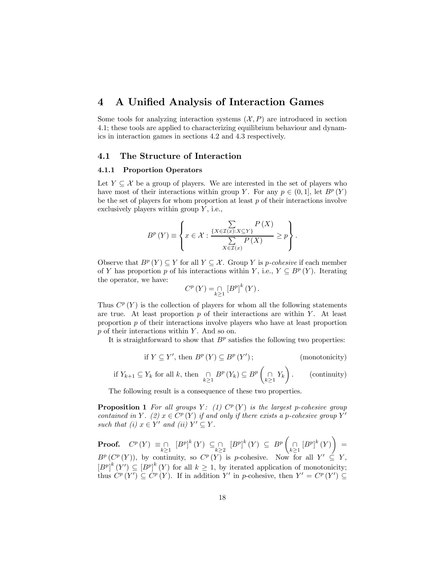# 4 A Unified Analysis of Interaction Games

Some tools for analyzing interaction systems  $(X, P)$  are introduced in section 4.1; these tools are applied to characterizing equilibrium behaviour and dynamics in interaction games in sections 4.2 and 4.3 respectively.

#### 4.1 The Structure of Interaction

#### 4.1.1 Proportion Operators

Let  $Y \subseteq \mathcal{X}$  be a group of players. We are interested in the set of players who have most of their interactions within group Y. For any  $p \in (0,1]$ , let  $B^p(Y)$ be the set of players for whom proportion at least  $p$  of their interactions involve exclusively players within group  $Y$ , i.e.,

$$
B^{p}(Y) \equiv \left\{ x \in \mathcal{X} : \frac{\sum\limits_{\{X \in \mathcal{I}(x): X \subseteq Y\}} P(X)}{\sum\limits_{X \in \mathcal{I}(x)} P(X)} \ge p \right\}.
$$

Observe that  $B^p(Y) \subseteq Y$  for all  $Y \subseteq \mathcal{X}$ . Group Y is p-cohesive if each member of Y has proportion p of his interactions within Y, i.e.,  $Y \subseteq B^p(Y)$ . Iterating the operator, we have:

$$
C^{p}(Y) = \bigcap_{k \geq 1} [B^{p}]^{k}(Y).
$$

Thus  $C^p(Y)$  is the collection of players for whom all the following statements are true. At least proportion  $p$  of their interactions are within  $Y$ . At least proportion  $p$  of their interactions involve players who have at least proportion  $p$  of their interactions within  $Y$ . And so on.

It is straightforward to show that  $B<sup>p</sup>$  satisfies the following two properties:

if 
$$
Y \subseteq Y'
$$
, then  $B^p(Y) \subseteq B^p(Y')$ ; (monotonicity)

if 
$$
Y_{k+1} \subseteq Y_k
$$
 for all k, then  $\bigcap_{k \geq 1} B^p(Y_k) \subseteq B^p\left(\bigcap_{k \geq 1} Y_k\right)$ . (continuity)

The following result is a consequence of these two properties.

**Proposition 1** For all groups  $Y: (1)$   $C^p(Y)$  is the largest p-cohesive group contained in Y. (2)  $x \in C^p(Y)$  if and only if there exists a p-cohesive group Y' such that (i)  $x \in Y'$  and (ii)  $Y' \subseteq Y$ .

**Proof.**  $C^p(Y) \equiv \bigcap_{k \geq 1} [B^p]^k(Y) \subseteq \bigcap_{k \geq 2} [B^p]^k(Y) \subseteq B^p$  $\bigcap_{k\geq 1} [B^p]^k(Y)$  $\setminus$ =  $B^p(C^p(Y))$ , by continuity, so  $C^p(Y)$  is p-cohesive. Now for all  $Y' \subseteq Y$ ,  $\left[B^p\right]^k(Y) \subseteq \left[B^p\right]^k(Y)$  for all  $k \geq 1$ , by iterated application of monotonicity; thus  $C^p(Y') \subseteq C^p(Y)$ . If in addition Y' in p-cohesive, then  $Y' = C^p(Y') \subseteq$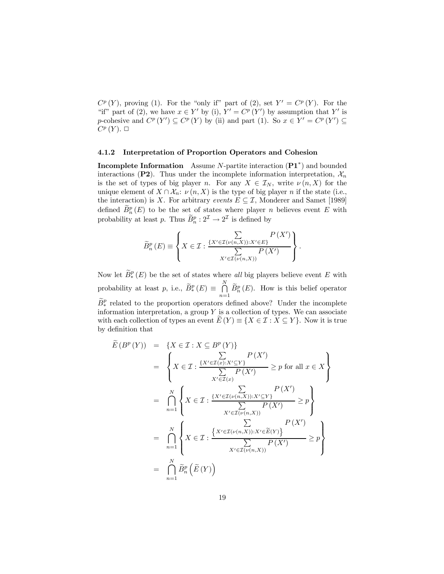$C^p(Y)$ , proving (1). For the "only if" part of (2), set  $Y' = C^p(Y)$ . For the "if" part of (2), we have  $x \in Y'$  by (i),  $Y' = C^p(Y')$  by assumption that Y' is p-cohesive and  $C^p(Y') \subseteq C^p(Y)$  by (ii) and part (1). So  $x \in Y' = C^p(Y') \subseteq$  $C^p(Y)$ .  $\Box$ 

#### 4.1.2 Interpretation of Proportion Operators and Cohesion

**Incomplete Information** Assume N-partite interaction  $(\mathbf{P1}^*)$  and bounded interactions (P2). Thus under the incomplete information interpretation,  $\mathcal{X}_n$ is the set of types of big player n. For any  $X \in \mathcal{I}_N$ , write  $\nu(n, X)$  for the unique element of  $X \cap \mathcal{X}_n$ :  $\nu(n, X)$  is the type of big player n if the state (i.e., the interaction) is X. For arbitrary events  $E \subset \mathcal{I}$ , Monderer and Samet [1989] defined  $\overline{B_n^p}(E)$  to be the set of states where player *n* believes event E with probability at least p. Thus  $\tilde{B}_n^p : 2^{\mathcal{I}} \to 2^{\mathcal{I}}$  is defined by

$$
\widetilde{B}_{n}^{p}(E) \equiv \left\{ X \in \mathcal{I} : \frac{\sum\limits_{\{X' \in \mathcal{I}(\nu(n,X)): X' \in E\}} P(X')}{\sum\limits_{X' \in \mathcal{I}(\nu(n,X))} P(X')} \right\}.
$$

Now let  $\widetilde{B}_*^p(E)$  be the set of states where all big players believe event E with probability at least p, i.e.,  $\widetilde{B}_{*}^{p}(E) \equiv \bigcap^{N}$  $\bigcap_{n=1} \overline{B_n^p}(E)$ . How is this belief operator  $\widetilde{B}_{*}^{p}$  related to the proportion operators defined above? Under the incomplete information interpretation, a group  $Y$  is a collection of types. We can associate with each collection of types an event  $E(Y) \equiv \{X \in \mathcal{I} : X \subseteq Y\}$ . Now it is true by definition that

$$
\widetilde{E}(B^p(Y)) = \{X \in \mathcal{I} : X \subseteq B^p(Y)\}
$$
\n
$$
= \left\{X \in \mathcal{I} : \frac{\sum\limits_{X' \in \mathcal{I}(x): X' \subseteq Y} P(X')}{\sum\limits_{X' \in \mathcal{I}(x)} P(X')} \ge p \text{ for all } x \in X\right\}
$$
\n
$$
= \bigcap_{n=1}^N \left\{X \in \mathcal{I} : \frac{\sum\limits_{X' \in \mathcal{I}(x(n,X)): X' \subseteq Y} P(X')}{\sum\limits_{X' \in \mathcal{I}(v(n,X))} P(X')}\ge p\right\}
$$
\n
$$
= \bigcap_{n=1}^N \left\{X \in \mathcal{I} : \frac{\sum\limits_{X' \in \mathcal{I}(v(n,X): X' \in \widetilde{E}(Y)} P(X')}{\sum\limits_{X' \in \mathcal{I}(v(n,X))} P(X')}\ge p\right\}
$$
\n
$$
= \bigcap_{n=1}^N \widetilde{B}_n^p(\widetilde{E}(Y))
$$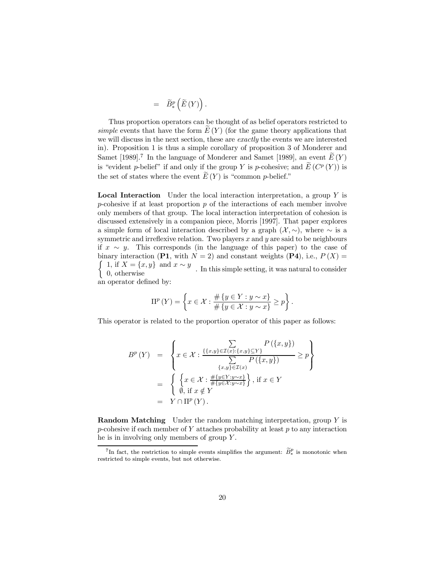$$
\quad = \quad \widetilde{B}^p_*\left(\widetilde{E}\left(Y\right)\right).
$$

Thus proportion operators can be thought of as belief operators restricted to simple events that have the form  $E(Y)$  (for the game theory applications that we will discuss in the next section, these are exactly the events we are interested in). Proposition 1 is thus a simple corollary of proposition 3 of Monderer and Samet [1989].<sup>7</sup> In the language of Monderer and Samet [1989], an event  $E(Y)$ is "evident p-belief" if and only if the group Y is p-cohesive; and  $\widetilde{E}(C^p(Y))$  is the set of states where the event  $E(Y)$  is "common p-belief."

**Local Interaction** Under the local interaction interpretation, a group  $Y$  is p-cohesive if at least proportion  $p$  of the interactions of each member involve only members of that group. The local interaction interpretation of cohesion is discussed extensively in a companion piece, Morris [1997]. That paper explores a simple form of local interaction described by a graph  $(\mathcal{X}, \sim)$ , where  $\sim$  is a symmetric and irreflexive relation. Two players  $x$  and  $y$  are said to be neighbours if  $x \sim y$ . This corresponds (in the language of this paper) to the case of  $\left\{\n\begin{array}{l}\n1, & \text{if } X = \{x, y\} \text{ and } x \sim y \\
0, & \text{otherwise}\n\end{array}\n\right.$  In this simple setting, it was natural to consider binary interaction (P1, with  $N = 2$ ) and constant weights (P4), i.e.,  $P(X) =$ 0, otherwise an operator defined by:

$$
\Pi^{p}(Y) = \left\{ x \in \mathcal{X} : \frac{\# \{ y \in Y : y \sim x \}}{\# \{ y \in \mathcal{X} : y \sim x \}} \ge p \right\}.
$$

This operator is related to the proportion operator of this paper as follows:

$$
B^{p}(Y) = \left\{ x \in \mathcal{X} : \frac{\sum\limits_{\{x,y\} \in \mathcal{I}(x):\{x,y\} \subseteq Y\}} P(\{x,y\})}{\sum\limits_{\{x,y\} \in \mathcal{I}(x)} P(\{x,y\})} \ge p \right\}
$$
  

$$
= \left\{ \left\{ x \in \mathcal{X} : \frac{\#\{y \in Y: y \sim x\}}{\#\{y \in \mathcal{X}: y \sim x\}} \right\}, \text{ if } x \in Y
$$
  

$$
= Y \cap \Pi^{p}(Y).
$$

**Random Matching** Under the random matching interpretation, group Y is  $p$ -cohesive if each member of  $Y$  attaches probability at least  $p$  to any interaction he is in involving only members of group  $Y$ .

<sup>&</sup>lt;sup>7</sup>In fact, the restriction to simple events simplifies the argument:  $\widetilde{B}_{*}^{p}$  is monotonic when restricted to simple events, but not otherwise.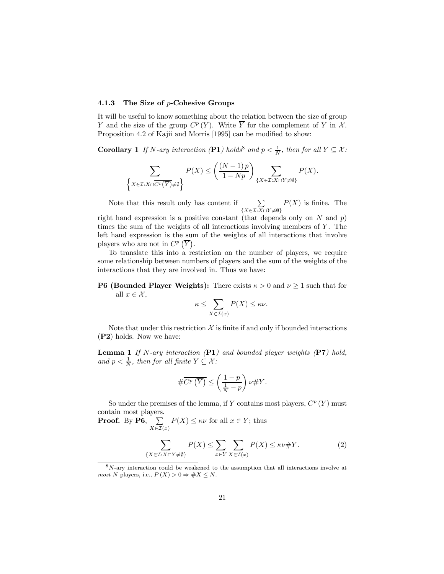#### 4.1.3 The Size of p-Cohesive Groups

It will be useful to know something about the relation between the size of group Y and the size of the group  $C^p(Y)$ . Write  $\overline{Y}$  for the complement of Y in X. Proposition 4.2 of Kajii and Morris [1995] can be modified to show:

**Corollary** 1 If N-ary interaction (P1) holds<sup>8</sup> and  $p < \frac{1}{N}$ , then for all  $Y \subseteq \mathcal{X}$ :

$$
\sum_{\left\{X \in \mathcal{I}: X \cap \overline{C^p(\overline{Y})} \neq \emptyset\right\}} P(X) \leq \left(\frac{(N-1)\,p}{1-Np}\right) \sum_{\left\{X \in \mathcal{I}: X \cap Y \neq \emptyset\right\}} P(X).
$$

Note that this result only has content if  $\sum$  $\{X \in \mathcal{I}: X \cap Y \neq \emptyset\}$  $P(X)$  is finite. The

right hand expression is a positive constant (that depends only on N and  $p$ ) times the sum of the weights of all interactions involving members of  $Y$ . The left hand expression is the sum of the weights of all interactions that involve players who are not in  $C^p(\overline{Y})$ .

To translate this into a restriction on the number of players, we require some relationship between numbers of players and the sum of the weights of the interactions that they are involved in. Thus we have:

#### **P6 (Bounded Player Weights):** There exists  $\kappa > 0$  and  $\nu \ge 1$  such that for all  $x \in \mathcal{X}$ ,

$$
\kappa \le \sum_{X \in \mathcal{I}(x)} P(X) \le \kappa \nu.
$$

Note that under this restriction  $\mathcal X$  is finite if and only if bounded interactions (P2) holds. Now we have:

**Lemma 1** If N-ary interaction  $(PI)$  and bounded player weights  $(PI)$  hold, and  $p < \frac{1}{N}$ , then for all finite  $Y \subseteq \mathcal{X}$ :

$$
\# \overline{C^p\left(\overline{Y}\right)} \leq \left(\frac{1-p}{\frac{1}{N}-p}\right)\nu \# Y.
$$

So under the premises of the lemma, if Y contains most players,  $C^p(Y)$  must contain most players.

**Proof.** By P6,  $\sum$  $\sum_{X \in \mathcal{I}(x)} P(X) \leq \kappa \nu$  for all  $x \in Y$ ; thus

$$
\sum_{\{X \in \mathcal{I}: X \cap Y \neq \emptyset\}} P(X) \le \sum_{x \in Y} \sum_{X \in \mathcal{I}(x)} P(X) \le \kappa \nu \# Y. \tag{2}
$$

 $8N$ -ary interaction could be weakened to the assumption that all interactions involve at most N players, i.e.,  $P(X) > 0 \Rightarrow \#X \leq N$ .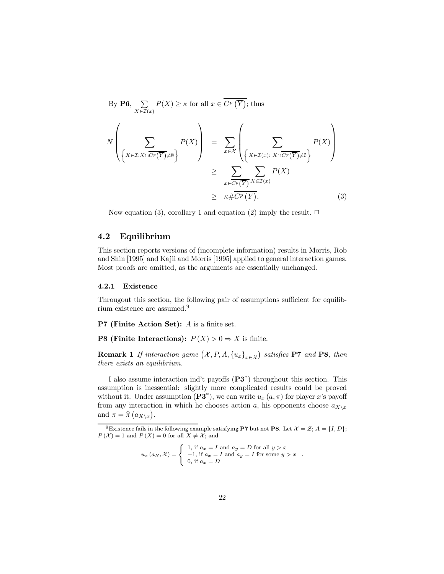By **P6**, 
$$
\sum_{X \in \mathcal{I}(x)} P(X) \ge \kappa
$$
 for all  $x \in \overline{C^p(\overline{Y})}$ ; thus  
\n
$$
N\left(\sum_{\{X \in \mathcal{I}: X \cap \overline{C^p(\overline{Y})} \neq \emptyset\}} P(X)\right) = \sum_{x \in \mathcal{X}} \left(\sum_{\{X \in \mathcal{I}(x): X \cap \overline{C^p(\overline{Y})} \neq \emptyset\}} P(X)\right)
$$
\n
$$
\ge \sum_{x \in \overline{C^p(\overline{Y})}} \sum_{X \in \mathcal{I}(x)} P(X)
$$
\n
$$
\ge \kappa \# \overline{C^p(\overline{Y})}. \tag{3}
$$

Now equation (3), corollary 1 and equation (2) imply the result.  $\Box$ 

### 4.2 Equilibrium

This section reports versions of (incomplete information) results in Morris, Rob and Shin [1995] and Kajii and Morris [1995] applied to general interaction games. Most proofs are omitted, as the arguments are essentially unchanged.

#### 4.2.1 Existence

Througout this section, the following pair of assumptions sufficient for equilibrium existence are assumed. 9

**P7** (Finite Action Set):  $A$  is a finite set.

**P8 (Finite Interactions):**  $P(X) > 0 \Rightarrow X$  is finite.

**Remark 1** If interaction game  $(\mathcal{X}, P, A, \{u_x\}_{x \in \mathcal{X}})$  satisfies **P7** and **P8**, then there exists an equilibrium.

I also assume interaction ind't payoffs  $(P3^*)$  throughout this section. This assumption is inessential: slightly more complicated results could be proved without it. Under assumption  $(\mathbf{P3}^*)$ , we can write  $u_x(a,\pi)$  for player x's payoff from any interaction in which he chooses action a, his opponents choose  $a_{X\setminus x}$ and  $\pi = \hat{\pi}(a_{X\setminus x}).$ 

$$
u_x (a_X, \mathcal{X}) = \begin{cases} 1, & \text{if } a_x = I \text{ and } a_y = D \text{ for all } y > x \\ -1, & \text{if } a_x = I \text{ and } a_y = I \text{ for some } y > x \\ 0, & \text{if } a_x = D \end{cases}.
$$

<sup>&</sup>lt;sup>9</sup>Existence fails in the following example satisfying **P7** but not **P8**. Let  $\mathcal{X} = \mathcal{Z}$ ;  $A = \{I, D\}$ ;  $P(X) = 1$  and  $P(X) = 0$  for all  $X \neq \mathcal{X}$ ; and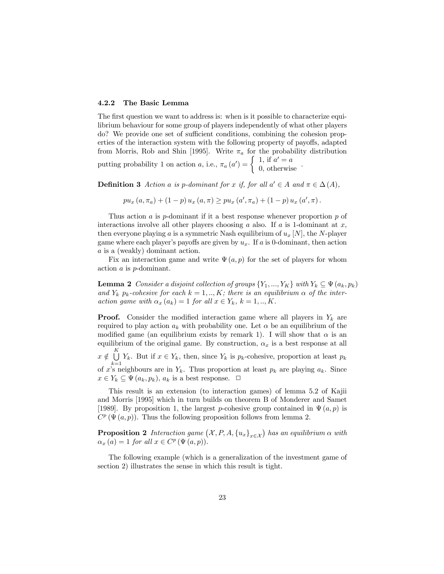#### 4.2.2 The Basic Lemma

The first question we want to address is: when is it possible to characterize equilibrium behaviour for some group of players independently of what other players do? We provide one set of sufficient conditions, combining the cohesion properties of the interaction system with the following property of payoffs, adapted from Morris, Rob and Shin [1995]. Write  $\pi_a$  for the probability distribution putting probability 1 on action a, i.e.,  $\pi_a(a') =$  $\int 1$ , if  $a' = a$ 0, otherwise .

**Definition 3** Action a is p-dominant for x if, for all  $a' \in A$  and  $\pi \in \Delta(A)$ ,

$$
pu_x(a, \pi_a) + (1 - p) u_x(a, \pi) \geq pu_x(a', \pi_a) + (1 - p) u_x(a', \pi).
$$

Thus action a is p-dominant if it a best response whenever proportion  $p$  of interactions involve all other players choosing a also. If a is 1-dominant at  $x$ , then everyone playing a is a symmetric Nash equilibrium of  $u_x$  [N], the N-player game where each player's payoffs are given by  $u_x$ . If a is 0-dominant, then action a is a (weakly) dominant action.

Fix an interaction game and write  $\Psi(a, p)$  for the set of players for whom action a is p-dominant.

**Lemma 2** Consider a disjoint collection of groups  $\{Y_1, ..., Y_K\}$  with  $Y_k \subseteq \Psi(a_k, p_k)$ and  $Y_k$  p<sub>k</sub>-cohesive for each  $k = 1, ..., K$ ; there is an equilibrium  $\alpha$  of the interaction game with  $\alpha_x(a_k) = 1$  for all  $x \in Y_k$ ,  $k = 1, ..., K$ .

**Proof.** Consider the modified interaction game where all players in  $Y_k$  are required to play action  $a_k$  with probability one. Let  $\alpha$  be an equilibrium of the modified game (an equilibrium exists by remark 1). I will show that  $\alpha$  is an equilibrium of the original game. By construction,  $\alpha_x$  is a best response at all  $x \notin \bigcup_{k=1}^K$  $\bigcup_{k=1} Y_k$ . But if  $x \in Y_k$ , then, since  $Y_k$  is  $p_k$ -cohesive, proportion at least  $p_k$ of x's neighbours are in  $Y_k$ . Thus proportion at least  $p_k$  are playing  $a_k$ . Since  $x \in Y_k \subseteq \Psi(a_k, p_k), a_k$  is a best response.  $\Box$ 

This result is an extension (to interaction games) of lemma 5.2 of Kajii and Morris [1995] which in turn builds on theorem B of Monderer and Samet [1989]. By proposition 1, the largest p-cohesive group contained in  $\Psi(a, p)$  is  $C^p(\Psi(a,p))$ . Thus the following proposition follows from lemma 2.

**Proposition 2** Interaction game  $(\mathcal{X}, P, A, \{u_x\}_{x \in \mathcal{X}})$  has an equilibrium  $\alpha$  with  $\alpha_x(a) = 1$  for all  $x \in C^p(\Psi(a, p)).$ 

The following example (which is a generalization of the investment game of section 2) illustrates the sense in which this result is tight.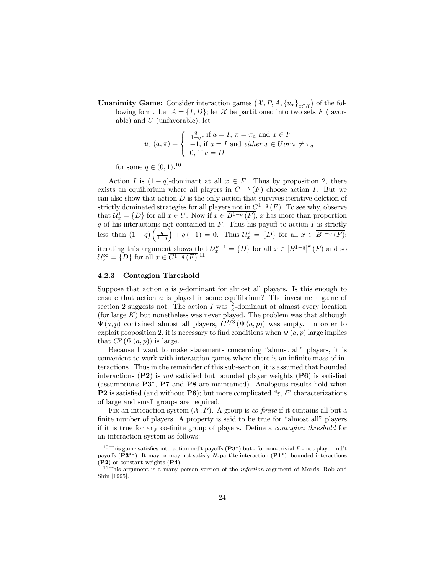**Unanimity Game:** Consider interaction games  $(\mathcal{X}, P, A, \{u_x\}_{x \in \mathcal{X}})$  of the following form. Let  $A = \{I, D\}$ ; let X be partitioned into two sets F (favorable) and  $U$  (unfavorable); let

$$
u_x(a,\pi) = \begin{cases} \frac{q}{1-q}, \text{ if } a = I, \pi = \pi_a \text{ and } x \in F \\ -1, \text{ if } a = I \text{ and either } x \in U \text{ or } \pi \neq \pi_a \\ 0, \text{ if } a = D \end{cases}
$$

for some  $q \in (0, 1).^{10}$ 

Action I is  $(1 - q)$ -dominant at all  $x \in F$ . Thus by proposition 2, there exists an equilibrium where all players in  $C^{1-q}(F)$  choose action I. But we can also show that action  $D$  is the only action that survives iterative deletion of strictly dominated strategies for all players not in  $C^{1-q}(F)$ . To see why, observe that  $\mathcal{U}_x^1 = \{D\}$  for all  $x \in U$ . Now if  $x \in \overline{B^{1-q}(F)}$ , x has more than proportion q of his interactions not contained in  $F$ . Thus his payoff to action  $I$  is strictly less than  $(1-q)\left(\frac{q}{1-q}\right)$  $+ q(-1) = 0$ . Thus  $\mathcal{U}_x^2 = \{D\}$  for all  $x \in \overline{B^{1-q}(F)}$ ; iterating this argument shows that  $\mathcal{U}_x^{k+1} = \{D\}$  for all  $x \in [B^{1-q}]^k(F)$  and so  $\mathcal{U}_x^{\infty} = \{D\}$  for all  $x \in \overline{C^{1-q}(F)}$ .<sup>11</sup>

#### 4.2.3 Contagion Threshold

Suppose that action  $\alpha$  is  $p$ -dominant for almost all players. Is this enough to ensure that action a is played in some equilibrium? The investment game of section 2 suggests not. The action I was  $\frac{2}{3}$ -dominant at almost every location (for large  $K$ ) but nonetheless was never played. The problem was that although  $\Psi(a, p)$  contained almost all players,  $C^{2/3}(\Psi(a, p))$  was empty. In order to exploit proposition 2, it is necessary to find conditions when  $\Psi(a, p)$  large implies that  $C^p(\Psi(a, p))$  is large.

Because I want to make statements concerning "almost all" players, it is convenient to work with interaction games where there is an infinite mass of interactions. Thus in the remainder of this sub-section, it is assumed that bounded interactions (P2) is not satisfied but bounded player weights (P6) is satisfied (assumptions  $\mathbf{P3}^*$ ,  $\mathbf{P7}$  and  $\mathbf{P8}$  are maintained). Analogous results hold when **P2** is satisfied (and without **P6**); but more complicated " $\varepsilon$ ,  $\delta$ " characterizations of large and small groups are required.

Fix an interaction system  $(X, P)$ . A group is *co-finite* if it contains all but a finite number of players. A property is said to be true for "almost all" players if it is true for any co-finite group of players. Define a *contagion threshold* for an interaction system as follows:

<sup>&</sup>lt;sup>10</sup>This game satisfies interaction ind't payoffs ( $\mathbf{P3}^*$ ) but - for non-trivial  $F$  - not player ind't payoffs ( $P3^{**}$ ). It may or may not satisfy N-partite interaction  $(P1^*)$ , bounded interactions  $(P2)$  or constant weights  $(P4)$ .

 $11$ This argument is a many person version of the *infection* argument of Morris, Rob and Shin [1995].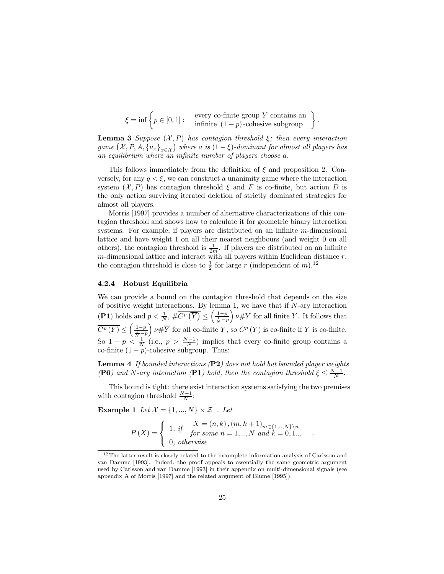$$
\xi = \inf \left\{ p \in [0,1] : \begin{array}{c} \text{every co-finite group } Y \text{ contains an } \\ \text{infinite } (1-p) \text{-cohesive subgroup} \end{array} \right\}
$$

.

.

**Lemma 3** Suppose  $(X, P)$  has contagion threshold  $\xi$ ; then every interaction game  $(\mathcal{X}, P, A, \{u_x\}_{x \in \mathcal{X}})$  where a is  $(1 - \xi)$ -dominant for almost all players has an equilibrium where an infinite number of players choose  $a$ .

This follows immediately from the definition of  $\xi$  and proposition 2. Conversely, for any  $q < \xi$ , we can construct a unanimity game where the interaction system  $(X, P)$  has contagion threshold  $\xi$  and F is co-finite, but action D is the only action surviving iterated deletion of strictly dominated strategies for almost all players.

Morris [1997] provides a number of alternative characterizations of this contagion threshold and shows how to calculate it for geometric binary interaction systems. For example, if players are distributed on an infinite  $m$ -dimensional lattice and have weight 1 on all their nearest neighbours (and weight 0 on all others), the contagion threshold is  $\frac{1}{2m}$ . If players are distributed on an infinite  $m$ -dimensional lattice and interact with all players within Euclidean distance  $r$ , the contagion threshold is close to  $\frac{1}{2}$  for large r (independent of m).<sup>12</sup>

#### 4.2.4 Robust Equilibria

We can provide a bound on the contagion threshold that depends on the size of positive weight interactions. By lemma 1, we have that if  $N$ -ary interaction (P1) holds and  $p < \frac{1}{N}$ ,  $\# \overline{C^p(\overline{Y})} \leq$  $\left(\frac{1-p}{\frac{1}{N}-p}\right)$  $v \# Y$  for all finite Y. It follows that  $\overline{C^p(Y)} \leq \left(\frac{1-p}{\frac{1}{N}-p}\right)$  $\mu \# \overline{Y}$  for all co-finite Y, so  $C^p(Y)$  is co-finite if Y is co-finite. So  $1 - p \leq \frac{1}{N}$  (i.e.,  $p > \frac{N-1}{N}$ ) implies that every co-finite group contains a co-finite  $(1 - p)$ -cohesive subgroup. Thus:

Lemma 4 If bounded interactions (P2) does not hold but bounded player weights (P6) and N-ary interaction (P1) hold, then the contagion threshold  $\xi \leq \frac{N-1}{N}$ .

This bound is tight: there exist interaction systems satisfying the two premises with contagion threshold  $\frac{N-1}{N}$ :

**Example 1** Let  $\mathcal{X} = \{1, ..., N\} \times \mathcal{Z}_+$ . Let

$$
P(X) = \begin{cases} 1, & X = (n, k), (m, k + 1)_{m \in \{1, \dots, N\} \setminus n} \\ & \text{for some } n = 1, \dots, N \text{ and } k = 0, 1 \dots \\ 0, & otherwise \end{cases}
$$

 $12$ The latter result is closely related to the incomplete information analysis of Carlsson and van Damme [1993]. Indeed, the proof appeals to essentially the same geometric argument used by Carlsson and van Damme [1993] in their appendix on multi-dimensional signals (see appendix A of Morris [1997] and the related argument of Blume [1995]).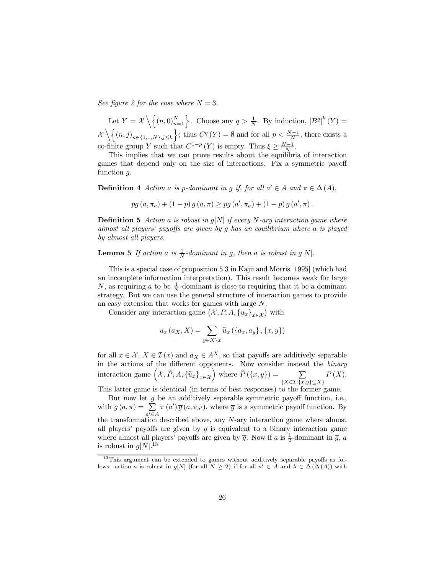See figure 2 for the case where  $N = 3$ .

Let  $Y = \mathcal{X} \setminus \{(n,0)_{n=1}^N\}$ . Choose any  $q > \frac{1}{N}$ . By induction,  $[B^q]^k(Y) =$  $\lambda$  $\setminus \{(n,j)_{n\in\{1,..,N\},j\leq k}\}\;$ ; thus  $C^q(Y)=\emptyset$  and for all  $p<\frac{N-1}{N}$ , there exists a co-finite group Y such that  $C^{1-p}(Y)$  is empty. Thus  $\xi \geq \frac{N-1}{N}$ .

This implies that we can prove results about the equilibria of interaction games that depend only on the size of interactions. Fix a symmetric payoff function q.

**Definition 4** Action a is p-dominant in g if, for all  $a' \in A$  and  $\pi \in \Delta(A)$ ,

 $pg (a, \pi_a) + (1-p) g (a, \pi) \geq pg (a', \pi_a) + (1-p) g (a', \pi).$ 

**Definition 5** Action a is robust in  $q[N]$  if every N-ary interaction game where almost all players' payoffs are given by  $g$  has an equilibrium where  $a$  is played by almost all players.

**Lemma 5** If action a is  $\frac{1}{N}$ -dominant in g, then a is robust in g[N].

This is a special case of proposition 5.3 in Kajii and Morris [1995] (which had an incomplete information interpretation). This result becomes weak for large N, as requiring a to be  $\frac{1}{N}$ -dominant is close to requiring that it be a dominant strategy. But we can use the general structure of interaction games to provide an easy extension that works for games with large N.

Consider any interaction game  $(\mathcal{X}, P, A, \{u_x\}_{x \in \mathcal{X}})$  with

$$
u_x (a_X, X) = \sum_{y \in X \setminus x} \widetilde{u}_x (\lbrace a_x, a_y \rbrace, \lbrace x, y \rbrace)
$$

for all  $x \in \mathcal{X}, X \in \mathcal{I}(x)$  and  $a_X \in A^X$ , so that payoffs are additively separable in the actions of the different opponents. Now consider instead the *binary* interaction game  $(\mathcal{X}, \widetilde{P}, A, {\{\widetilde{u}_x\}}_{x \in \mathcal{X}})$  where  $\widetilde{P}(\{x, y\}) = \sum_{\{X \subseteq \mathcal{T}: \{x\}}$  $\{X \in \mathcal{I}: \{x,y\} \subseteq X\}$  $P(X)$ .

This latter game is identical (in terms of best responses) to the former game.

But now let  $g$  be an additively separable symmetric payoff function, i.e., with  $g(a, \pi) = \sum$  $a' \in A$  $\pi(a')\overline{g}(a, \pi_{a'})$ , where  $\overline{g}$  is a symmetric payoff function. By the transformation described above, any N-ary interaction game where almost all players' payoffs are given by  $q$  is equivalent to a binary interaction game where almost all players' payoffs are given by  $\overline{g}$ . Now if a is  $\frac{1}{2}$ -dominant in  $\overline{g}$ , a is robust in  $g[N].^{13}$ 

 $13$ This argument can be extended to games without additively separable payoffs as follows: action *a* is robust in  $g[N]$  (for all  $N \geq 2$ ) if for all  $a' \in A$  and  $\lambda \in \Delta(\Delta(A))$  with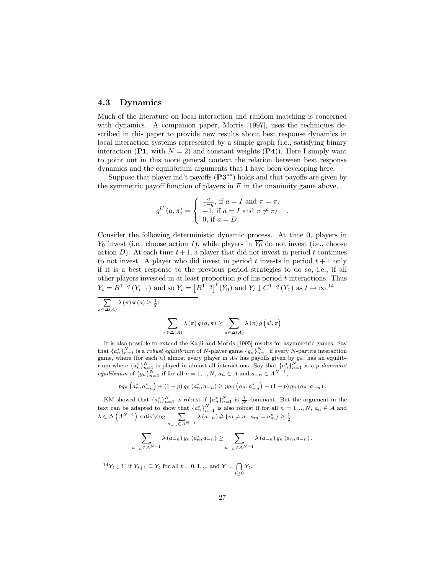#### 4.3 Dynamics

Much of the literature on local interaction and random matching is concerned with dynamics. A companion paper, Morris [1997], uses the techniques described in this paper to provide new results about best response dynamics in local interaction systems represented by a simple graph (i.e., satisfying binary interaction (P1, with  $N = 2$ ) and constant weights (P4)). Here I simply want to point out in this more general context the relation between best response dynamics and the equilibrium arguments that I have been developing here.

Suppose that player ind't payoffs  $(P3^{**})$  holds and that payoffs are given by the symmetric payoff function of players in  $F$  in the unanimity game above,

$$
g^{U}(a,\pi) = \begin{cases} \frac{q}{1-q}, \text{ if } a = I \text{ and } \pi = \pi_{I} \\ -1, \text{ if } a = I \text{ and } \pi \neq \pi_{I} \\ 0, \text{ if } a = D \end{cases}
$$

.

Consider the following deterministic dynamic process. At time 0, players in  $Y_0$  invest (i.e., choose action I), while players in  $\overline{Y_0}$  do not invest (i.e., choose action D). At each time  $t + 1$ , a player that did not invest in period t continues to not invest. A player who did invest in period t invests in period  $t + 1$  only if it is a best response to the previous period strategies to do so, i.e., if all other players invested in at least proportion  $p$  of his period  $t$  interactions. Thus  $Y_t = B^{1-q} (Y_{t-1})$  and so  $Y_t = [B^{1-q}]^t (Y_0)$  and  $Y_t \downarrow C^{1-q} (Y_0)$  as  $t \to \infty$ .<sup>14</sup>

$$
\sum_{\pi \in \Delta(A)} \lambda(\pi) \pi(a) \ge \frac{1}{2}
$$

$$
\sum_{\pi \in \Delta(A)} \lambda(\pi) g(a, \pi) \ge \sum_{\pi \in \Delta(A)} \lambda(\pi) g(a', \pi)
$$

It is also possible to extend the Kajii and Morris [1995] results for asymmetric games. Say that  ${a_n^*}_{n=1}^N$  is a robust equilibrium of N-player game  ${g_n}_{n=1}^N$  if every N-partite interaction game, where (for each *n*) almost every player in  $\mathcal{X}_n$  has payoffs given by  $g_n$ , has an equilibrium where  $\{a_n^*\}_{n=1}^N$  is played in almost all interactions. Say that  $\{a_n^*\}_{n=1}^N$  is a *p*-dominant equilibrium of  $\{g_n\}_{n=1}^N$  if for all  $n = 1, ..., N$ ,  $a_n \in A$  and  $a_{-n} \in A^{N-1}$ ,

$$
pg_n\left(a_n^*, a_{-n}^*\right) + (1-p) g_n\left(a_n^*, a_{-n}\right) \geq pg_n\left(a_n, a_{-n}^*\right) + (1-p) g_n\left(a_n, a_{-n}\right).
$$

KM showed that  $\{a_n^*\}_{n=1}^N$  is robust if  $\{a_n^*\}_{n=1}^N$  is  $\frac{1}{N}$ -dominant. But the argument in the text can be adapted to show that  $\{a_n^*\}_{n=1}^N$  is also robust if for all  $n=1,..,N, a_n \in A$  and  $\lambda \in \Delta\left(A^{N-1}\right)$  satisfying  $\qquad \sum$  $a_{-n}$  $\in$  A<sup>N-1</sup>  $\lambda(a_{-n}) \# \{m \neq n : a_m = a_m^*\} \geq \frac{1}{2},$ 

$$
\sum_{a_{-n}\in A^{N-1}} \lambda(a_{-n}) g_n(a_n^*, a_{-n}) \ge \sum_{a_{-n}\in A^{N-1}} \lambda(a_{-n}) g_n(a_n, a_{-n}).
$$

<sup>14</sup>Y<sub>t</sub>  $\downarrow$  Y if  $Y_{t+1} \subseteq Y_t$  for all  $t = 0, 1, ...$  and  $Y = \bigcap$  $t\geq0$  $Y_t$ .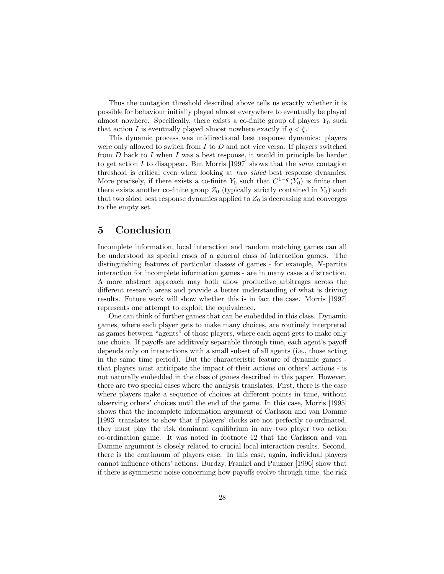Thus the contagion threshold described above tells us exactly whether it is possible for behaviour initially played almost everywhere to eventually be played almost nowhere. Specifically, there exists a co-finite group of players  $Y_0$  such that action I is eventually played almost nowhere exactly if  $q < \xi$ .

This dynamic process was unidirectional best response dynamics: players were only allowed to switch from  $I$  to  $D$  and not vice versa. If players switched from  $D$  back to  $I$  when  $I$  was a best response, it would in principle be harder to get action I to disappear. But Morris [1997] shows that the same contagion threshold is critical even when looking at two sided best response dynamics. More precisely, if there exists a co-finite  $Y_0$  such that  $C^{1-q}(Y_0)$  is finite then there exists another co-finite group  $Z_0$  (typically strictly contained in  $Y_0$ ) such that two sided best response dynamics applied to  $Z_0$  is decreasing and converges to the empty set.

## 5 Conclusion

Incomplete information, local interaction and random matching games can all be understood as special cases of a general class of interaction games. The distinguishing features of particular classes of games - for example, N-partite interaction for incomplete information games - are in many cases a distraction. A more abstract approach may both allow productive arbitrages across the different research areas and provide a better understanding of what is driving results. Future work will show whether this is in fact the case. Morris [1997] represents one attempt to exploit the equivalence.

One can think of further games that can be embedded in this class. Dynamic games, where each player gets to make many choices, are routinely interpreted as games between "agents" of those players, where each agent gets to make only one choice. If payoffs are additively separable through time, each agent's payoff depends only on interactions with a small subset of all agents (i.e., those acting in the same time period). But the characteristic feature of dynamic games that players must anticipate the impact of their actions on others' actions - is not naturally embedded in the class of games described in this paper. However, there are two special cases where the analysis translates. First, there is the case where players make a sequence of choices at different points in time, without observing others' choices until the end of the game. In this case, Morris [1995] shows that the incomplete information argument of Carlsson and van Damme [1993] translates to show that if players' clocks are not perfectly co-ordinated, they must play the risk dominant equilibrium in any two player two action co-ordination game. It was noted in footnote 12 that the Carlsson and van Damme argument is closely related to crucial local interaction results. Second, there is the continuum of players case. In this case, again, individual players cannot influence others' actions. Burdzy, Frankel and Pauzner [1996] show that if there is symmetric noise concerning how payoffs evolve through time, the risk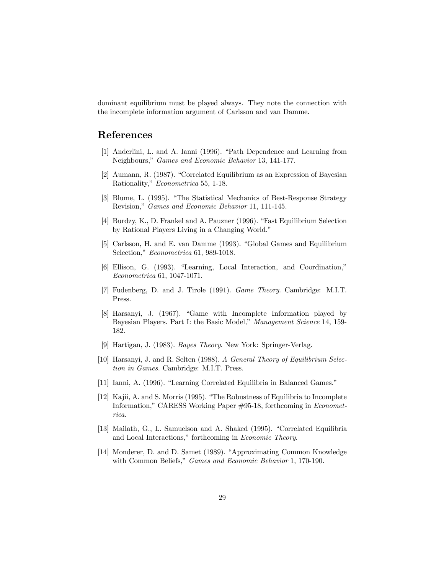dominant equilibrium must be played always. They note the connection with the incomplete information argument of Carlsson and van Damme.

# References

- [1] Anderlini, L. and A. Ianni (1996). "Path Dependence and Learning from Neighbours," Games and Economic Behavior 13, 141-177.
- [2] Aumann, R. (1987). "Correlated Equilibrium as an Expression of Bayesian Rationality," Econometrica 55, 1-18.
- [3] Blume, L. (1995). "The Statistical Mechanics of Best-Response Strategy Revision," Games and Economic Behavior 11, 111-145.
- [4] Burdzy, K., D. Frankel and A. Pauzner (1996). "Fast Equilibrium Selection by Rational Players Living in a Changing World."
- [5] Carlsson, H. and E. van Damme (1993). "Global Games and Equilibrium Selection," Econometrica 61, 989-1018.
- [6] Ellison, G. (1993). "Learning, Local Interaction, and Coordination," Econometrica 61, 1047-1071.
- [7] Fudenberg, D. and J. Tirole (1991). Game Theory. Cambridge: M.I.T. Press.
- $[8]$  Harsanyi, J. (1967). "Game with Incomplete Information played by Bayesian Players. Part I: the Basic Model," Management Science 14, 159- 182.
- [9] Hartigan, J. (1983). Bayes Theory. New York: Springer-Verlag.
- [10] Harsanyi, J. and R. Selten (1988). A General Theory of Equilibrium Selection in Games. Cambridge: M.I.T. Press.
- [11] Ianni, A. (1996). "Learning Correlated Equilibria in Balanced Games."
- [12] Kajii, A. and S. Morris (1995). \The Robustness of Equilibria to Incomplete Information," CARESS Working Paper #95-18, forthcoming in Econometrica.
- [13] Mailath, G., L. Samuelson and A. Shaked (1995). "Correlated Equilibria and Local Interactions," forthcoming in Economic Theory.
- [14] Monderer, D. and D. Samet (1989). "Approximating Common Knowledge with Common Beliefs," *Games and Economic Behavior* 1, 170-190.